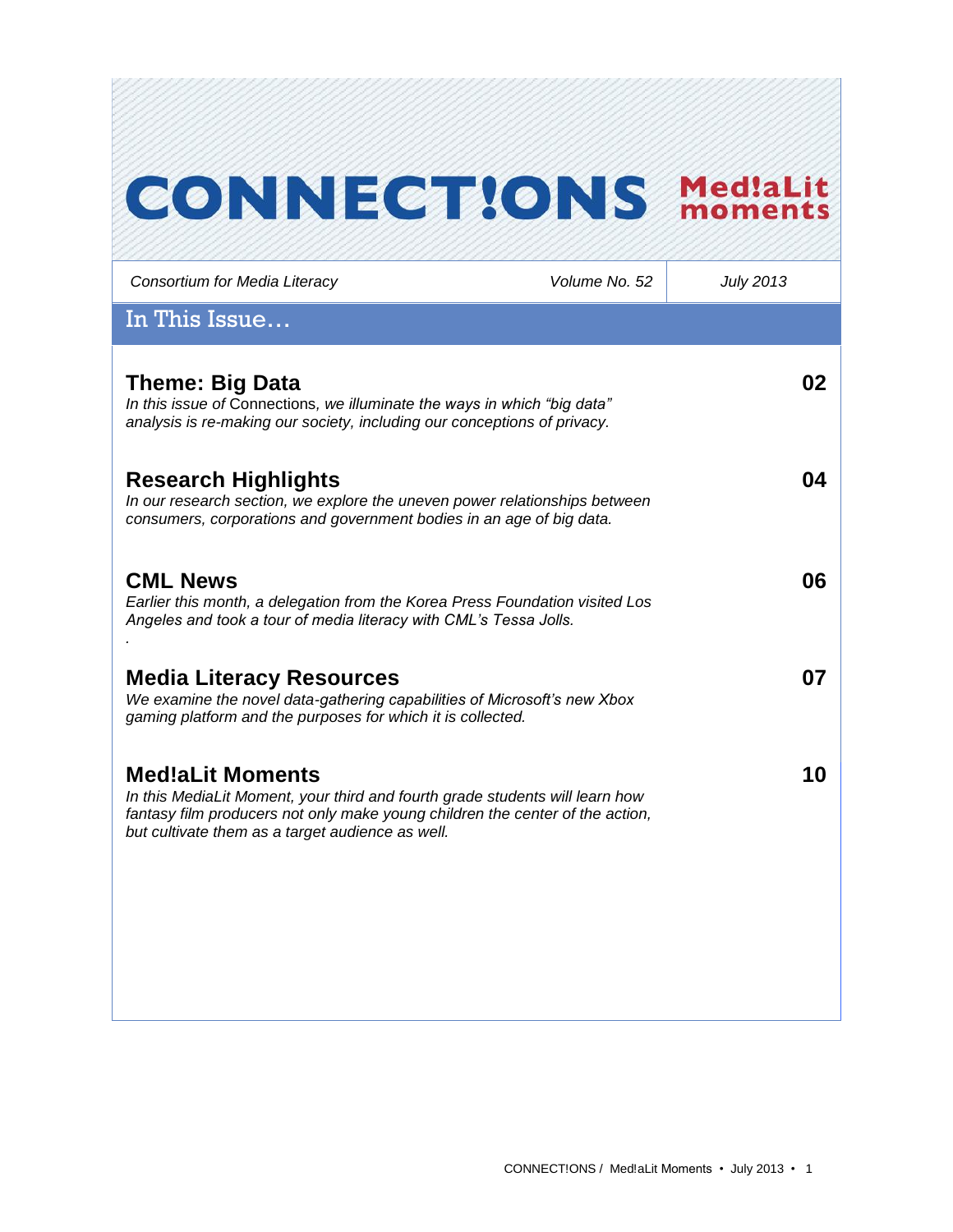# **CONNECTIONS MediaLit**

*Consortium for Media Literacy Volume No. 52 July 2013* In This Issue… **Theme: Big Data** *In this issue of* Connections*, we illuminate the ways in which "big data" analysis is re-making our society, including our conceptions of privacy.*  **02 Research Highlights** *In our research section, we explore the uneven power relationships between consumers, corporations and government bodies in an age of big data.*  **04 CML News**  *Earlier this month, a delegation from the Korea Press Foundation visited Los Angeles and took a tour of media literacy with CML's Tessa Jolls. .* **06 Media Literacy Resources** *We examine the novel data-gathering capabilities of Microsoft's new Xbox gaming platform and the purposes for which it is collected.*  **07 Med!aLit Moments** *In this MediaLit Moment, your third and fourth grade students will learn how fantasy film producers not only make young children the center of the action, but cultivate them as a target audience as well.*  **10**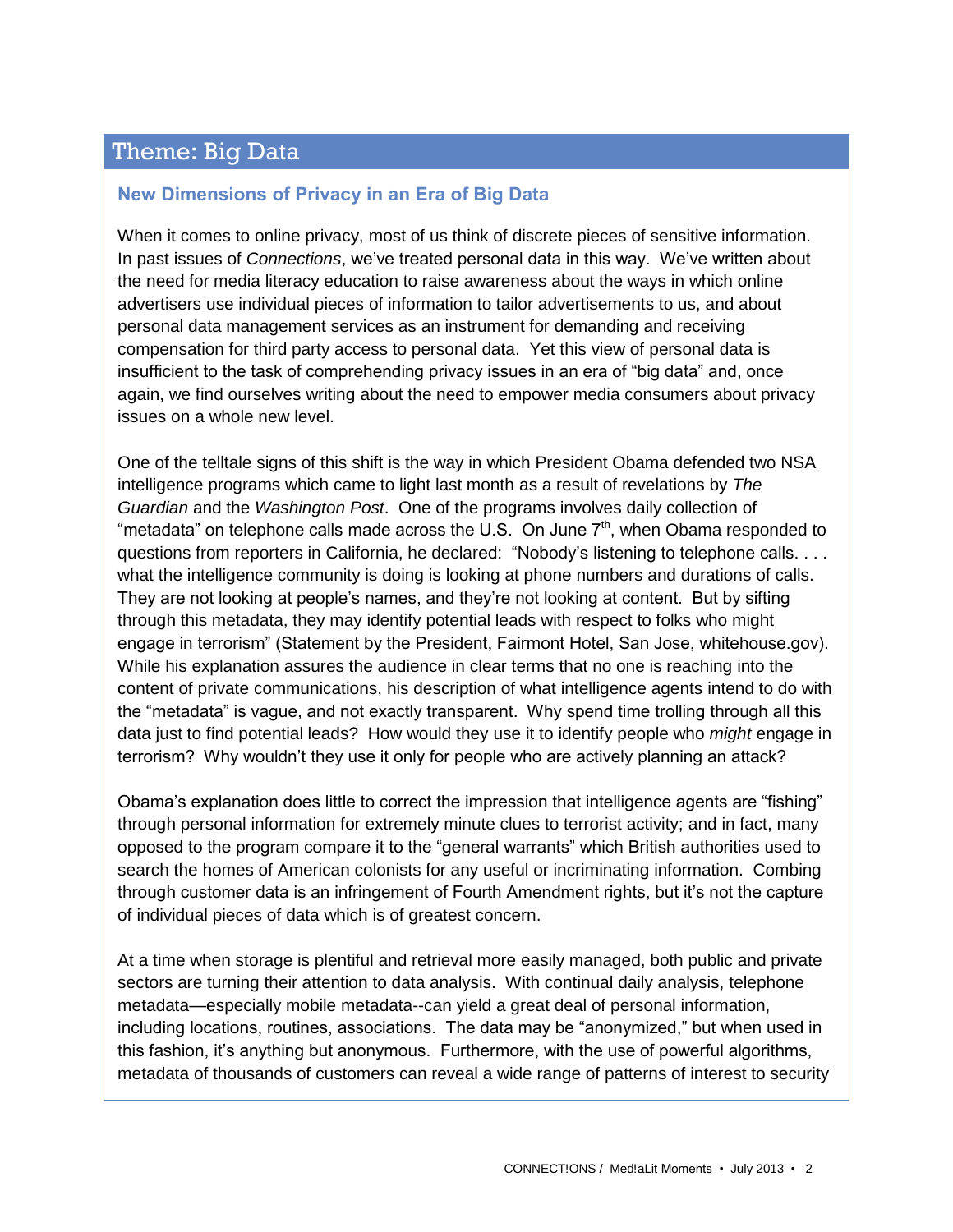## Theme: Big Data

#### **New Dimensions of Privacy in an Era of Big Data**

When it comes to online privacy, most of us think of discrete pieces of sensitive information. In past issues of *Connections*, we've treated personal data in this way. We've written about the need for media literacy education to raise awareness about the ways in which online advertisers use individual pieces of information to tailor advertisements to us, and about personal data management services as an instrument for demanding and receiving compensation for third party access to personal data. Yet this view of personal data is insufficient to the task of comprehending privacy issues in an era of "big data" and, once again, we find ourselves writing about the need to empower media consumers about privacy issues on a whole new level.

One of the telltale signs of this shift is the way in which President Obama defended two NSA intelligence programs which came to light last month as a result of revelations by *The Guardian* and the *Washington Post*. One of the programs involves daily collection of "metadata" on telephone calls made across the U.S. On June  $7<sup>th</sup>$ , when Obama responded to questions from reporters in California, he declared: "Nobody's listening to telephone calls. . . . what the intelligence community is doing is looking at phone numbers and durations of calls. They are not looking at people's names, and they're not looking at content. But by sifting through this metadata, they may identify potential leads with respect to folks who might engage in terrorism" (Statement by the President, Fairmont Hotel, San Jose, whitehouse.gov). While his explanation assures the audience in clear terms that no one is reaching into the content of private communications, his description of what intelligence agents intend to do with the "metadata" is vague, and not exactly transparent. Why spend time trolling through all this data just to find potential leads? How would they use it to identify people who *might* engage in terrorism? Why wouldn't they use it only for people who are actively planning an attack?

Obama's explanation does little to correct the impression that intelligence agents are "fishing" through personal information for extremely minute clues to terrorist activity; and in fact, many opposed to the program compare it to the "general warrants" which British authorities used to search the homes of American colonists for any useful or incriminating information. Combing through customer data is an infringement of Fourth Amendment rights, but it's not the capture of individual pieces of data which is of greatest concern.

At a time when storage is plentiful and retrieval more easily managed, both public and private sectors are turning their attention to data analysis. With continual daily analysis, telephone metadata—especially mobile metadata--can yield a great deal of personal information, including locations, routines, associations. The data may be "anonymized," but when used in this fashion, it's anything but anonymous. Furthermore, with the use of powerful algorithms, metadata of thousands of customers can reveal a wide range of patterns of interest to security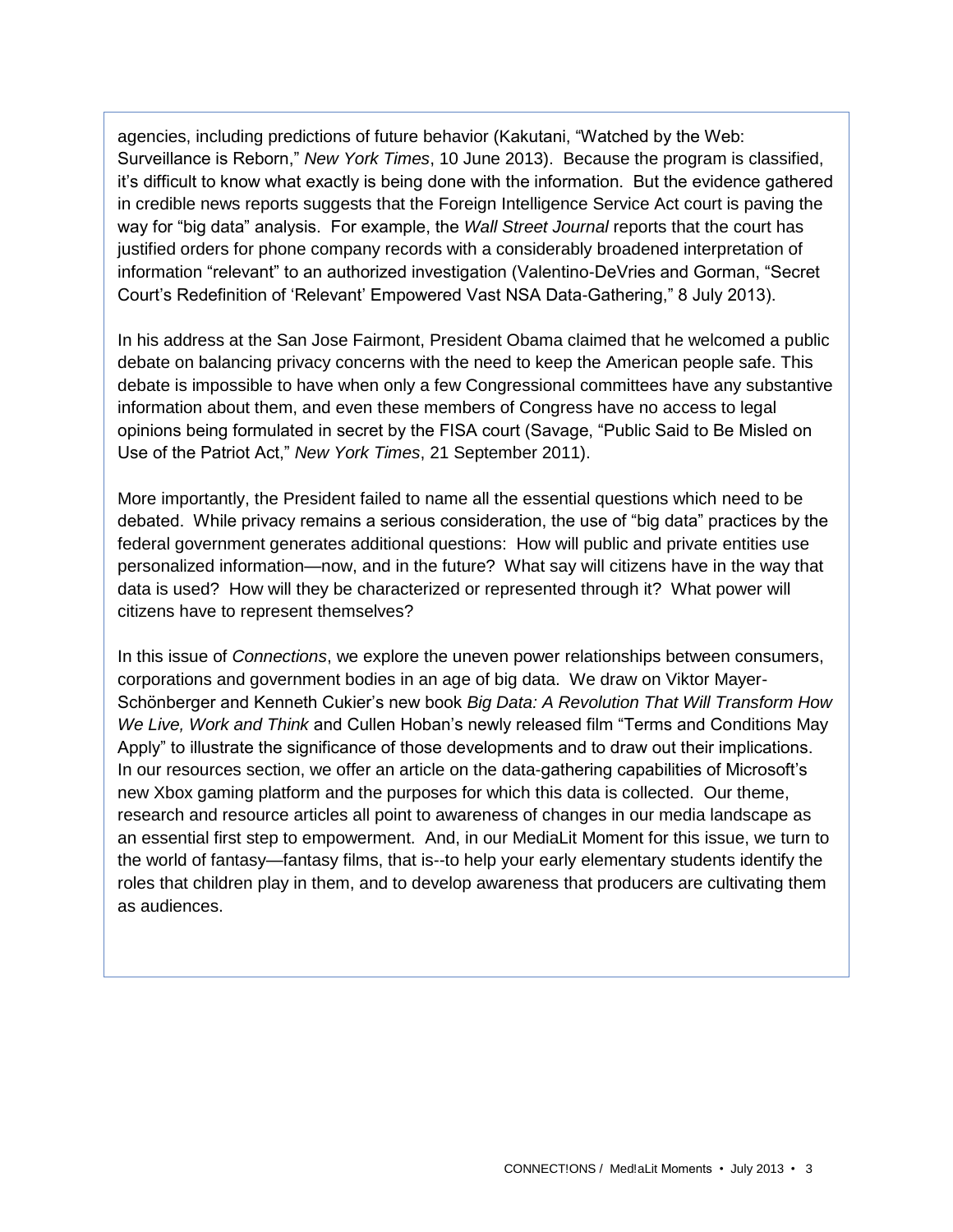agencies, including predictions of future behavior (Kakutani, "Watched by the Web: Surveillance is Reborn," *New York Times*, 10 June 2013). Because the program is classified, it's difficult to know what exactly is being done with the information. But the evidence gathered in credible news reports suggests that the Foreign Intelligence Service Act court is paving the way for "big data" analysis. For example, the *Wall Street Journal* reports that the court has justified orders for phone company records with a considerably broadened interpretation of information "relevant" to an authorized investigation (Valentino-DeVries and Gorman, "Secret Court's Redefinition of 'Relevant' Empowered Vast NSA Data-Gathering," 8 July 2013).

In his address at the San Jose Fairmont, President Obama claimed that he welcomed a public debate on balancing privacy concerns with the need to keep the American people safe. This debate is impossible to have when only a few Congressional committees have any substantive information about them, and even these members of Congress have no access to legal opinions being formulated in secret by the FISA court (Savage, "Public Said to Be Misled on Use of the Patriot Act," *New York Times*, 21 September 2011).

More importantly, the President failed to name all the essential questions which need to be debated. While privacy remains a serious consideration, the use of "big data" practices by the federal government generates additional questions: How will public and private entities use personalized information—now, and in the future? What say will citizens have in the way that data is used? How will they be characterized or represented through it? What power will citizens have to represent themselves?

In this issue of *Connections*, we explore the uneven power relationships between consumers, corporations and government bodies in an age of big data. We draw on Viktor Mayer-Schönberger and Kenneth Cukier's new book *Big Data: A Revolution That Will Transform How We Live, Work and Think* and Cullen Hoban's newly released film "Terms and Conditions May Apply" to illustrate the significance of those developments and to draw out their implications. In our resources section, we offer an article on the data-gathering capabilities of Microsoft's new Xbox gaming platform and the purposes for which this data is collected. Our theme, research and resource articles all point to awareness of changes in our media landscape as an essential first step to empowerment. And, in our MediaLit Moment for this issue, we turn to the world of fantasy—fantasy films, that is--to help your early elementary students identify the roles that children play in them, and to develop awareness that producers are cultivating them as audiences.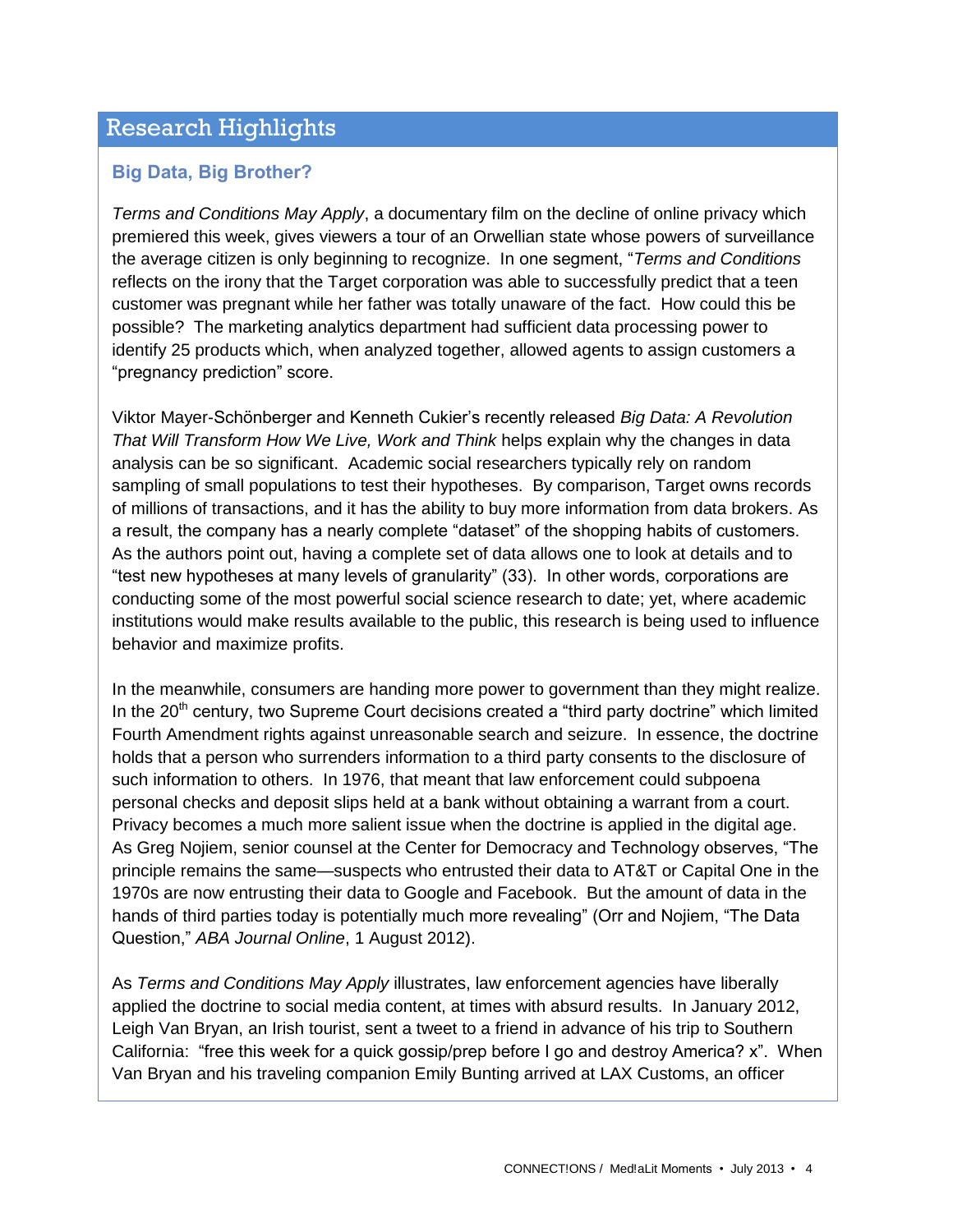## Research Highlights

### **Big Data, Big Brother?**

*Terms and Conditions May Apply*, a documentary film on the decline of online privacy which premiered this week, gives viewers a tour of an Orwellian state whose powers of surveillance the average citizen is only beginning to recognize. In one segment, "*Terms and Conditions* reflects on the irony that the Target corporation was able to successfully predict that a teen customer was pregnant while her father was totally unaware of the fact. How could this be possible? The marketing analytics department had sufficient data processing power to identify 25 products which, when analyzed together, allowed agents to assign customers a "pregnancy prediction" score.

Viktor Mayer-Schönberger and Kenneth Cukier's recently released *Big Data: A Revolution That Will Transform How We Live, Work and Think* helps explain why the changes in data analysis can be so significant. Academic social researchers typically rely on random sampling of small populations to test their hypotheses. By comparison, Target owns records of millions of transactions, and it has the ability to buy more information from data brokers. As a result, the company has a nearly complete "dataset" of the shopping habits of customers. As the authors point out, having a complete set of data allows one to look at details and to "test new hypotheses at many levels of granularity" (33). In other words, corporations are conducting some of the most powerful social science research to date; yet, where academic institutions would make results available to the public, this research is being used to influence behavior and maximize profits.

In the meanwhile, consumers are handing more power to government than they might realize. In the  $20<sup>th</sup>$  century, two Supreme Court decisions created a "third party doctrine" which limited Fourth Amendment rights against unreasonable search and seizure. In essence, the doctrine holds that a person who surrenders information to a third party consents to the disclosure of such information to others. In 1976, that meant that law enforcement could subpoena personal checks and deposit slips held at a bank without obtaining a warrant from a court. Privacy becomes a much more salient issue when the doctrine is applied in the digital age. As Greg Nojiem, senior counsel at the Center for Democracy and Technology observes, "The principle remains the same—suspects who entrusted their data to AT&T or Capital One in the 1970s are now entrusting their data to Google and Facebook. But the amount of data in the hands of third parties today is potentially much more revealing" (Orr and Nojiem, "The Data Question," *ABA Journal Online*, 1 August 2012).

As *Terms and Conditions May Apply* illustrates, law enforcement agencies have liberally applied the doctrine to social media content, at times with absurd results. In January 2012, Leigh Van Bryan, an Irish tourist, sent a tweet to a friend in advance of his trip to Southern California: "free this week for a quick gossip/prep before I go and destroy America? x". When Van Bryan and his traveling companion Emily Bunting arrived at LAX Customs, an officer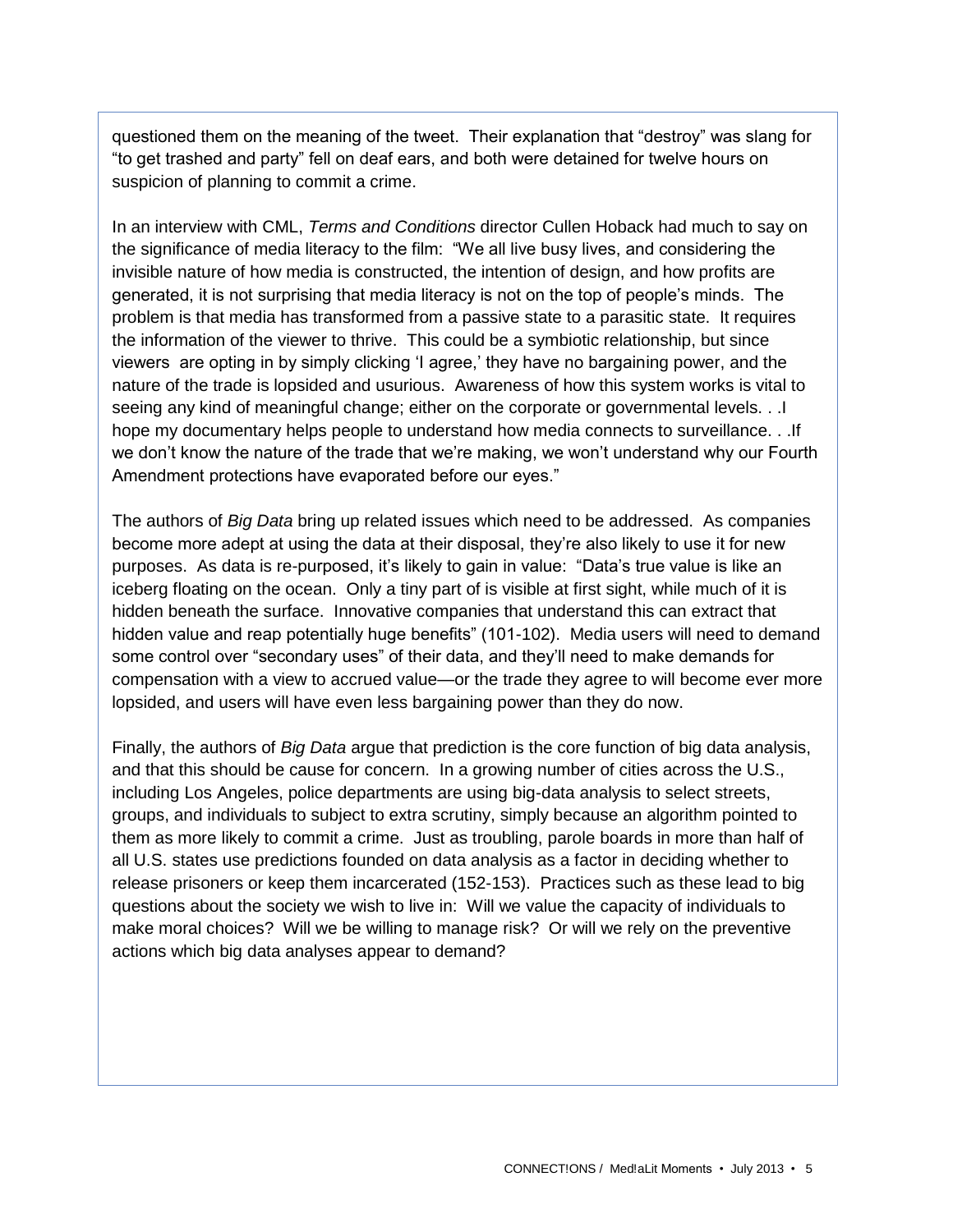questioned them on the meaning of the tweet. Their explanation that "destroy" was slang for "to get trashed and party" fell on deaf ears, and both were detained for twelve hours on suspicion of planning to commit a crime.

In an interview with CML, *Terms and Conditions* director Cullen Hoback had much to say on the significance of media literacy to the film: "We all live busy lives, and considering the invisible nature of how media is constructed, the intention of design, and how profits are generated, it is not surprising that media literacy is not on the top of people's minds. The problem is that media has transformed from a passive state to a parasitic state. It requires the information of the viewer to thrive. This could be a symbiotic relationship, but since viewers are opting in by simply clicking 'I agree,' they have no bargaining power, and the nature of the trade is lopsided and usurious. Awareness of how this system works is vital to seeing any kind of meaningful change; either on the corporate or governmental levels. . .I hope my documentary helps people to understand how media connects to surveillance. . .If we don't know the nature of the trade that we're making, we won't understand why our Fourth Amendment protections have evaporated before our eyes."

The authors of *Big Data* bring up related issues which need to be addressed. As companies become more adept at using the data at their disposal, they're also likely to use it for new purposes. As data is re-purposed, it's likely to gain in value: "Data's true value is like an iceberg floating on the ocean. Only a tiny part of is visible at first sight, while much of it is hidden beneath the surface. Innovative companies that understand this can extract that hidden value and reap potentially huge benefits" (101-102). Media users will need to demand some control over "secondary uses" of their data, and they'll need to make demands for compensation with a view to accrued value—or the trade they agree to will become ever more lopsided, and users will have even less bargaining power than they do now.

Finally, the authors of *Big Data* argue that prediction is the core function of big data analysis, and that this should be cause for concern. In a growing number of cities across the U.S., including Los Angeles, police departments are using big-data analysis to select streets, groups, and individuals to subject to extra scrutiny, simply because an algorithm pointed to them as more likely to commit a crime. Just as troubling, parole boards in more than half of all U.S. states use predictions founded on data analysis as a factor in deciding whether to release prisoners or keep them incarcerated (152-153). Practices such as these lead to big questions about the society we wish to live in: Will we value the capacity of individuals to make moral choices? Will we be willing to manage risk? Or will we rely on the preventive actions which big data analyses appear to demand?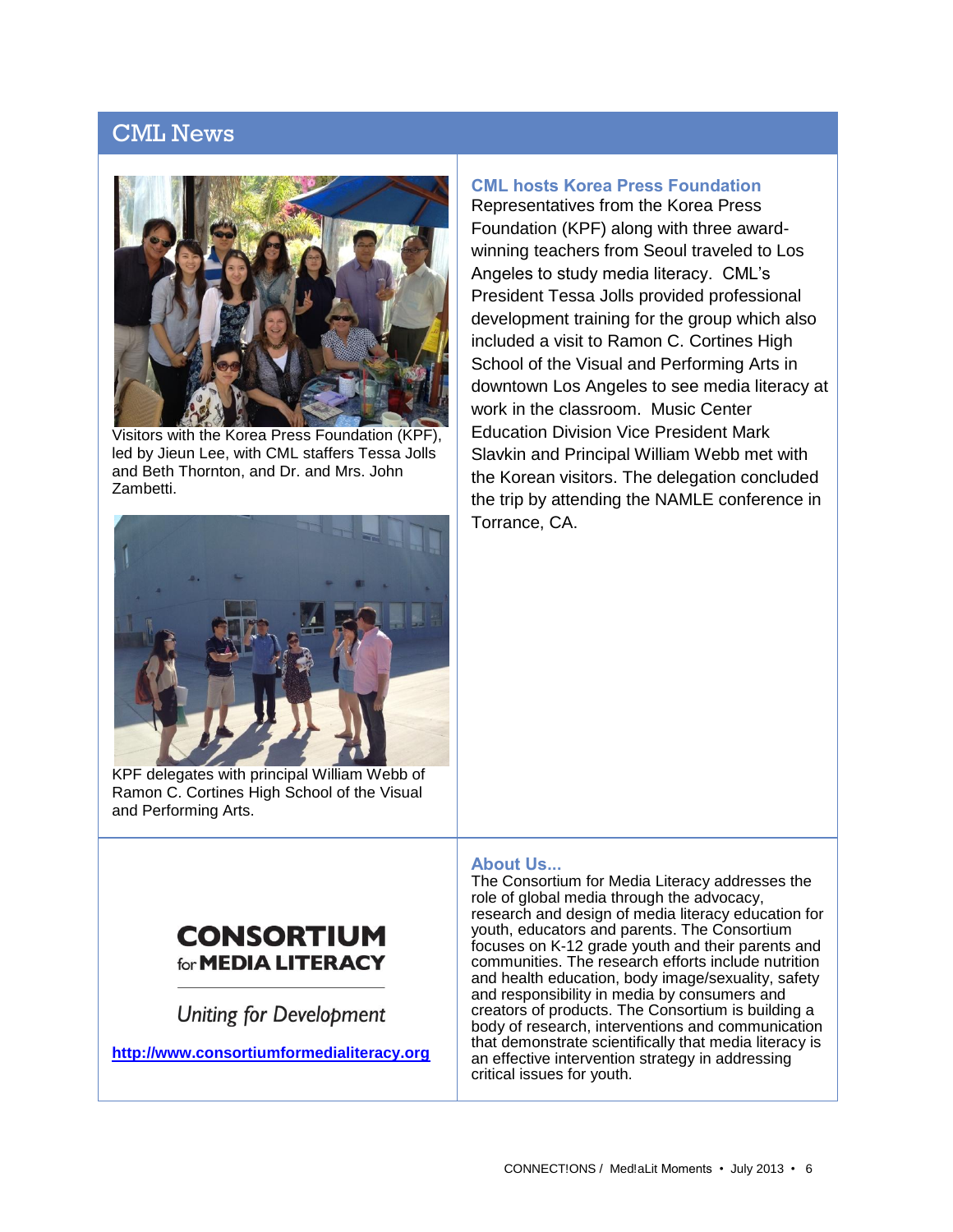## CML News



Visitors with the Korea Press Foundation (KPF), led by Jieun Lee, with CML staffers Tessa Jolls and Beth Thornton, and Dr. and Mrs. John Zambetti.



KPF delegates with principal William Webb of Ramon C. Cortines High School of the Visual and Performing Arts.

## **CML hosts Korea Press Foundation**

Representatives from the Korea Press Foundation (KPF) along with three awardwinning teachers from Seoul traveled to Los Angeles to study media literacy. CML's President Tessa Jolls provided professional development training for the group which also included a visit to Ramon C. Cortines High School of the Visual and Performing Arts in downtown Los Angeles to see media literacy at work in the classroom. Music Center Education Division Vice President Mark Slavkin and Principal William Webb met with the Korean visitors. The delegation concluded the trip by attending the NAMLE conference in Torrance, CA.

## **About Us...**

## **CONSORTIUM** for **MEDIA LITERACY**

**Uniting for Development** 

**[http://www.consortiumformedialiteracy.org](http://www.consortiumformedialiteracy.org/)**

The Consortium for Media Literacy addresses the role of global media through the advocacy, research and design of media literacy education for youth, educators and parents. The Consortium focuses on K-12 grade youth and their parents and communities. The research efforts include nutrition and health education, body image/sexuality, safety and responsibility in media by consumers and creators of products. The Consortium is building a body of research, interventions and communication that demonstrate scientifically that media literacy is an effective intervention strategy in addressing critical issues for youth.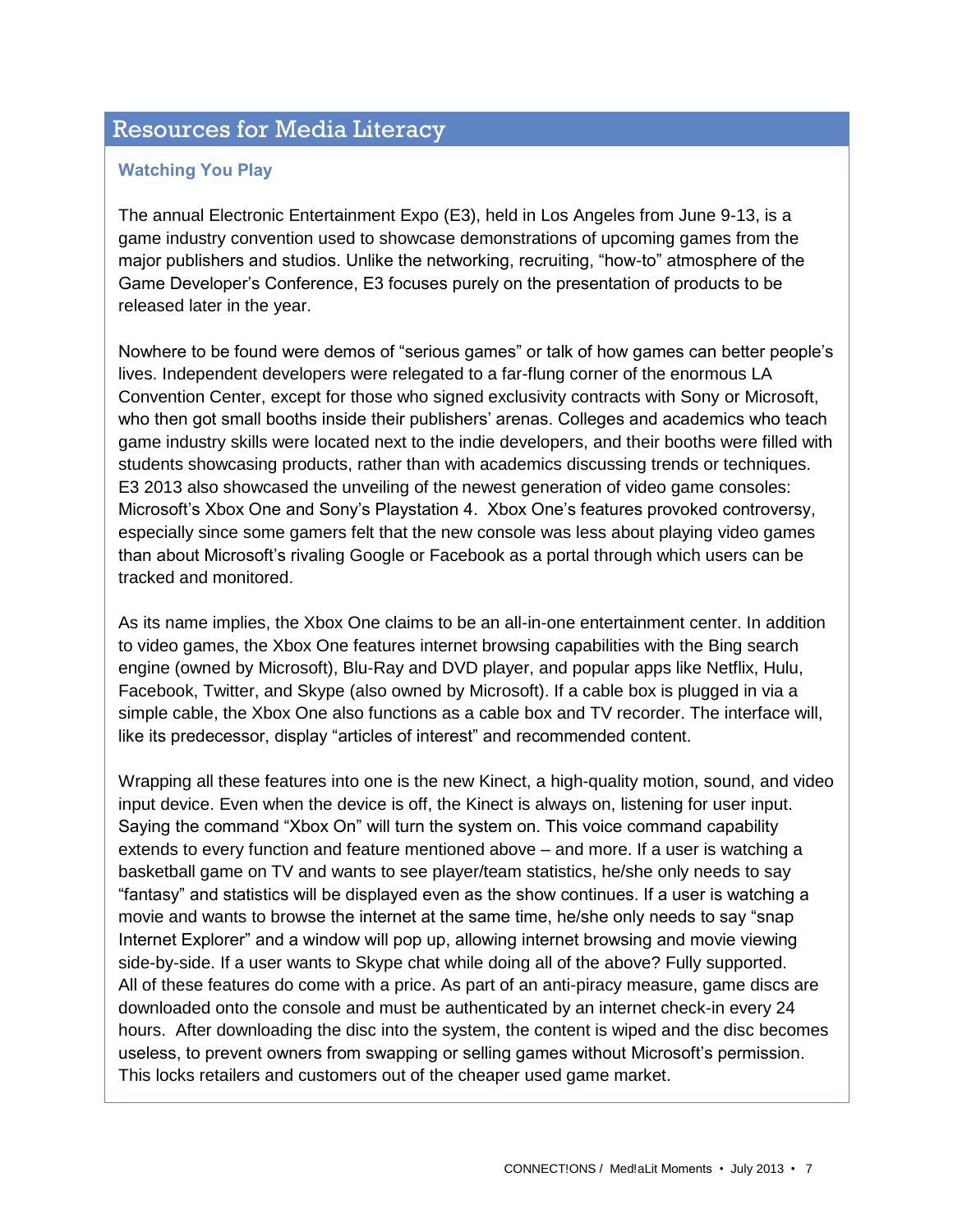## Resources for Media Literacy

#### **Watching You Play**

The annual Electronic Entertainment Expo (E3), held in Los Angeles from June 9-13, is a game industry convention used to showcase demonstrations of upcoming games from the major publishers and studios. Unlike the networking, recruiting, "how-to" atmosphere of the Game Developer's Conference, E3 focuses purely on the presentation of products to be released later in the year.

Nowhere to be found were demos of "serious games" or talk of how games can better people's lives. Independent developers were relegated to a far-flung corner of the enormous LA Convention Center, except for those who signed exclusivity contracts with Sony or Microsoft, who then got small booths inside their publishers' arenas. Colleges and academics who teach game industry skills were located next to the indie developers, and their booths were filled with students showcasing products, rather than with academics discussing trends or techniques. E3 2013 also showcased the unveiling of the newest generation of video game consoles: Microsoft's Xbox One and Sony's Playstation 4. Xbox One's features provoked controversy, especially since some gamers felt that the new console was less about playing video games than about Microsoft's rivaling Google or Facebook as a portal through which users can be tracked and monitored.

As its name implies, the Xbox One claims to be an all-in-one entertainment center. In addition to video games, the Xbox One features internet browsing capabilities with the Bing search engine (owned by Microsoft), Blu-Ray and DVD player, and popular apps like Netflix, Hulu, Facebook, Twitter, and Skype (also owned by Microsoft). If a cable box is plugged in via a simple cable, the Xbox One also functions as a cable box and TV recorder. The interface will, like its predecessor, display "articles of interest" and recommended content.

Wrapping all these features into one is the new Kinect, a high-quality motion, sound, and video input device. Even when the device is off, the Kinect is always on, listening for user input. Saying the command "Xbox On" will turn the system on. This voice command capability extends to every function and feature mentioned above – and more. If a user is watching a basketball game on TV and wants to see player/team statistics, he/she only needs to say "fantasy" and statistics will be displayed even as the show continues. If a user is watching a movie and wants to browse the internet at the same time, he/she only needs to say "snap Internet Explorer" and a window will pop up, allowing internet browsing and movie viewing side-by-side. If a user wants to Skype chat while doing all of the above? Fully supported. All of these features do come with a price. As part of an anti-piracy measure, game discs are downloaded onto the console and must be authenticated by an internet check-in every 24 hours. After downloading the disc into the system, the content is wiped and the disc becomes useless, to prevent owners from swapping or selling games without Microsoft's permission. This locks retailers and customers out of the cheaper used game market.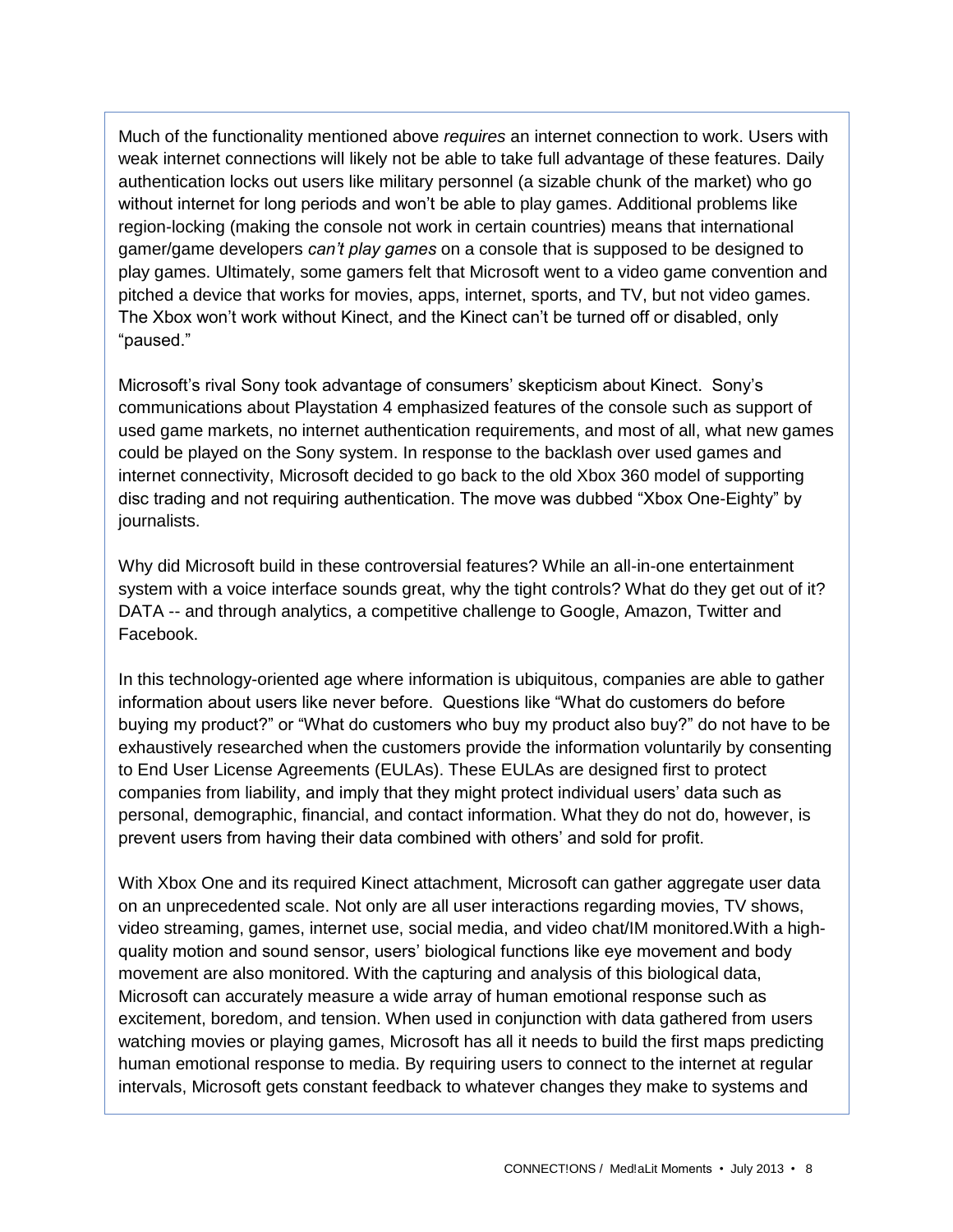Much of the functionality mentioned above *requires* an internet connection to work. Users with weak internet connections will likely not be able to take full advantage of these features. Daily authentication locks out users like military personnel (a sizable chunk of the market) who go without internet for long periods and won't be able to play games. Additional problems like region-locking (making the console not work in certain countries) means that international gamer/game developers *can't play games* on a console that is supposed to be designed to play games. Ultimately, some gamers felt that Microsoft went to a video game convention and pitched a device that works for movies, apps, internet, sports, and TV, but not video games. The Xbox won't work without Kinect, and the Kinect can't be turned off or disabled, only "paused."

Microsoft's rival Sony took advantage of consumers' skepticism about Kinect. Sony's communications about Playstation 4 emphasized features of the console such as support of used game markets, no internet authentication requirements, and most of all, what new games could be played on the Sony system. In response to the backlash over used games and internet connectivity, Microsoft decided to go back to the old Xbox 360 model of supporting disc trading and not requiring authentication. The move was dubbed "Xbox One-Eighty" by journalists.

Why did Microsoft build in these controversial features? While an all-in-one entertainment system with a voice interface sounds great, why the tight controls? What do they get out of it? DATA -- and through analytics, a competitive challenge to Google, Amazon, Twitter and Facebook.

In this technology-oriented age where information is ubiquitous, companies are able to gather information about users like never before. Questions like "What do customers do before buying my product?" or "What do customers who buy my product also buy?" do not have to be exhaustively researched when the customers provide the information voluntarily by consenting to End User License Agreements (EULAs). These EULAs are designed first to protect companies from liability, and imply that they might protect individual users' data such as personal, demographic, financial, and contact information. What they do not do, however, is prevent users from having their data combined with others' and sold for profit.

With Xbox One and its required Kinect attachment, Microsoft can gather aggregate user data on an unprecedented scale. Not only are all user interactions regarding movies, TV shows, video streaming, games, internet use, social media, and video chat/IM monitored.With a highquality motion and sound sensor, users' biological functions like eye movement and body movement are also monitored. With the capturing and analysis of this biological data, Microsoft can accurately measure a wide array of human emotional response such as excitement, boredom, and tension. When used in conjunction with data gathered from users watching movies or playing games, Microsoft has all it needs to build the first maps predicting human emotional response to media. By requiring users to connect to the internet at regular intervals, Microsoft gets constant feedback to whatever changes they make to systems and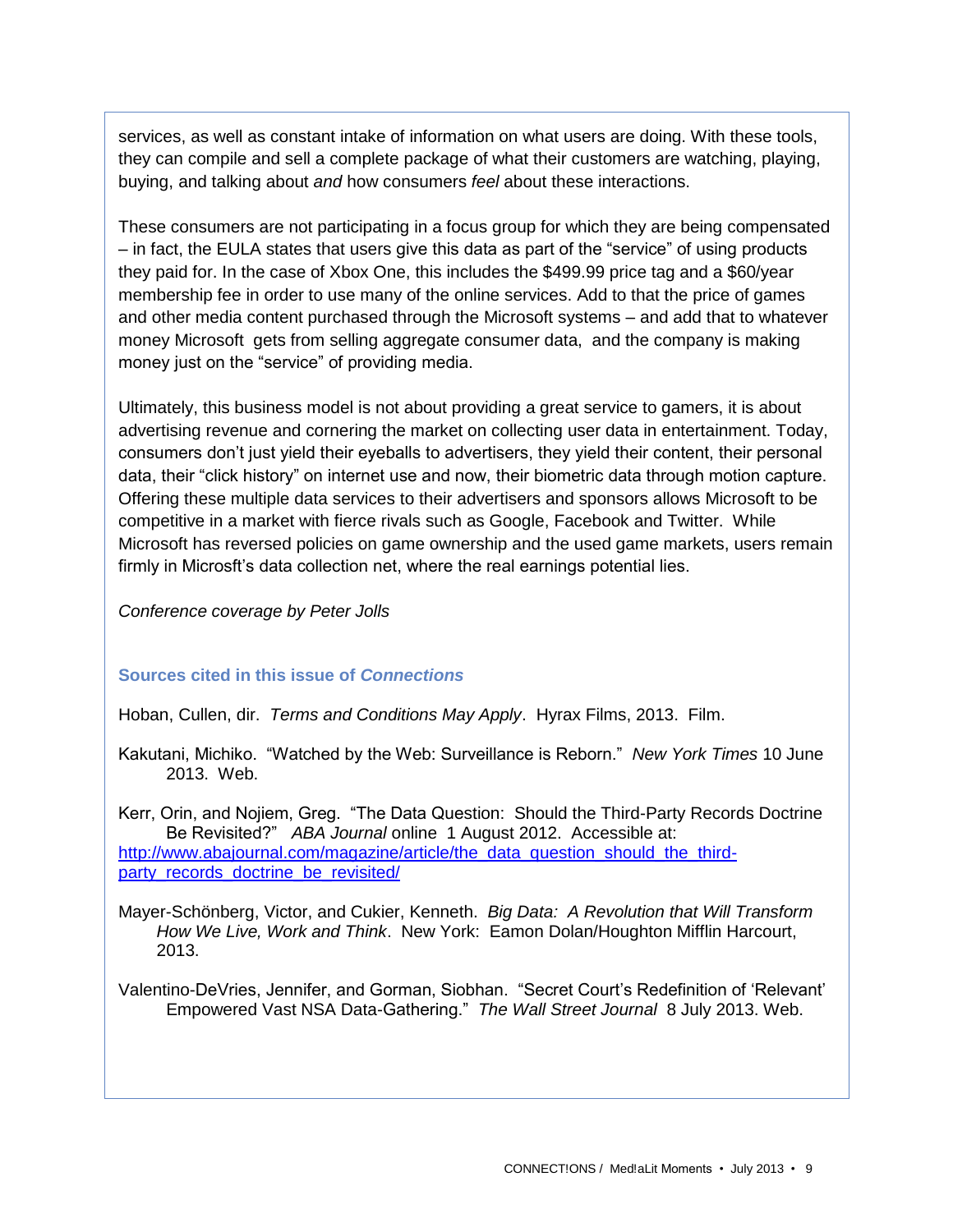services, as well as constant intake of information on what users are doing. With these tools, they can compile and sell a complete package of what their customers are watching, playing, buying, and talking about *and* how consumers *feel* about these interactions.

These consumers are not participating in a focus group for which they are being compensated – in fact, the EULA states that users give this data as part of the "service" of using products they paid for. In the case of Xbox One, this includes the \$499.99 price tag and a \$60/year membership fee in order to use many of the online services. Add to that the price of games and other media content purchased through the Microsoft systems – and add that to whatever money Microsoft gets from selling aggregate consumer data, and the company is making money just on the "service" of providing media.

Ultimately, this business model is not about providing a great service to gamers, it is about advertising revenue and cornering the market on collecting user data in entertainment. Today, consumers don't just yield their eyeballs to advertisers, they yield their content, their personal data, their "click history" on internet use and now, their biometric data through motion capture. Offering these multiple data services to their advertisers and sponsors allows Microsoft to be competitive in a market with fierce rivals such as Google, Facebook and Twitter. While Microsoft has reversed policies on game ownership and the used game markets, users remain firmly in Microsft's data collection net, where the real earnings potential lies.

*Conference coverage by Peter Jolls*

#### **Sources cited in this issue of** *Connections*

Hoban, Cullen, dir. *Terms and Conditions May Apply*. Hyrax Films, 2013. Film.

Kakutani, Michiko. "Watched by the Web: Surveillance is Reborn." *New York Times* 10 June 2013. Web.

Kerr, Orin, and Nojiem, Greg. "The Data Question: Should the Third-Party Records Doctrine Be Revisited?" *ABA Journal* online 1 August 2012. Accessible at: [http://www.abajournal.com/magazine/article/the\\_data\\_question\\_should\\_the\\_third](http://www.abajournal.com/magazine/article/the_data_question_should_the_third-party_records_doctrine_be_revisited/)[party\\_records\\_doctrine\\_be\\_revisited/](http://www.abajournal.com/magazine/article/the_data_question_should_the_third-party_records_doctrine_be_revisited/)

Mayer-Schönberg, Victor, and Cukier, Kenneth. *Big Data: A Revolution that Will Transform How We Live, Work and Think*. New York: Eamon Dolan/Houghton Mifflin Harcourt, 2013.

Valentino-DeVries, Jennifer, and Gorman, Siobhan. "Secret Court's Redefinition of 'Relevant' Empowered Vast NSA Data-Gathering." *The Wall Street Journal* 8 July 2013. Web.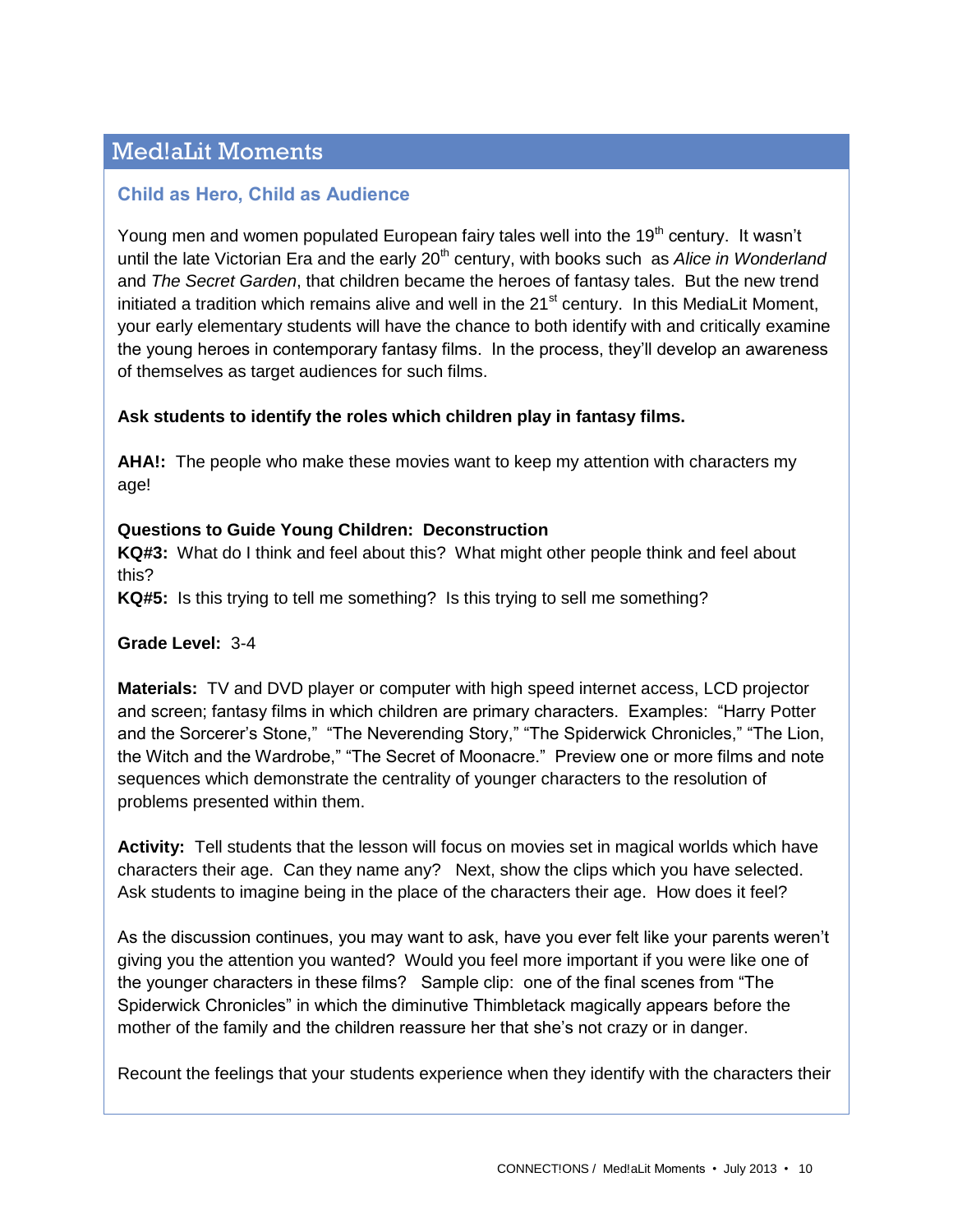## Med!aLit Moments

#### **Child as Hero, Child as Audience**

Young men and women populated European fairy tales well into the 19<sup>th</sup> century. It wasn't until the late Victorian Era and the early 20<sup>th</sup> century, with books such as *Alice in Wonderland* and *The Secret Garden*, that children became the heroes of fantasy tales. But the new trend initiated a tradition which remains alive and well in the  $21<sup>st</sup>$  century. In this MediaLit Moment, your early elementary students will have the chance to both identify with and critically examine the young heroes in contemporary fantasy films. In the process, they'll develop an awareness of themselves as target audiences for such films.

#### **Ask students to identify the roles which children play in fantasy films.**

**AHA!:** The people who make these movies want to keep my attention with characters my age!

#### **Questions to Guide Young Children: Deconstruction**

**KQ#3:** What do I think and feel about this? What might other people think and feel about this?

**KQ#5:** Is this trying to tell me something? Is this trying to sell me something?

#### **Grade Level:** 3-4

**Materials:** TV and DVD player or computer with high speed internet access, LCD projector and screen; fantasy films in which children are primary characters. Examples: "Harry Potter and the Sorcerer's Stone," "The Neverending Story," "The Spiderwick Chronicles," "The Lion, the Witch and the Wardrobe," "The Secret of Moonacre." Preview one or more films and note sequences which demonstrate the centrality of younger characters to the resolution of problems presented within them.

**Activity:** Tell students that the lesson will focus on movies set in magical worlds which have characters their age. Can they name any? Next, show the clips which you have selected. Ask students to imagine being in the place of the characters their age. How does it feel?

As the discussion continues, you may want to ask, have you ever felt like your parents weren't giving you the attention you wanted? Would you feel more important if you were like one of the younger characters in these films? Sample clip: one of the final scenes from "The Spiderwick Chronicles" in which the diminutive Thimbletack magically appears before the mother of the family and the children reassure her that she's not crazy or in danger.

Recount the feelings that your students experience when they identify with the characters their